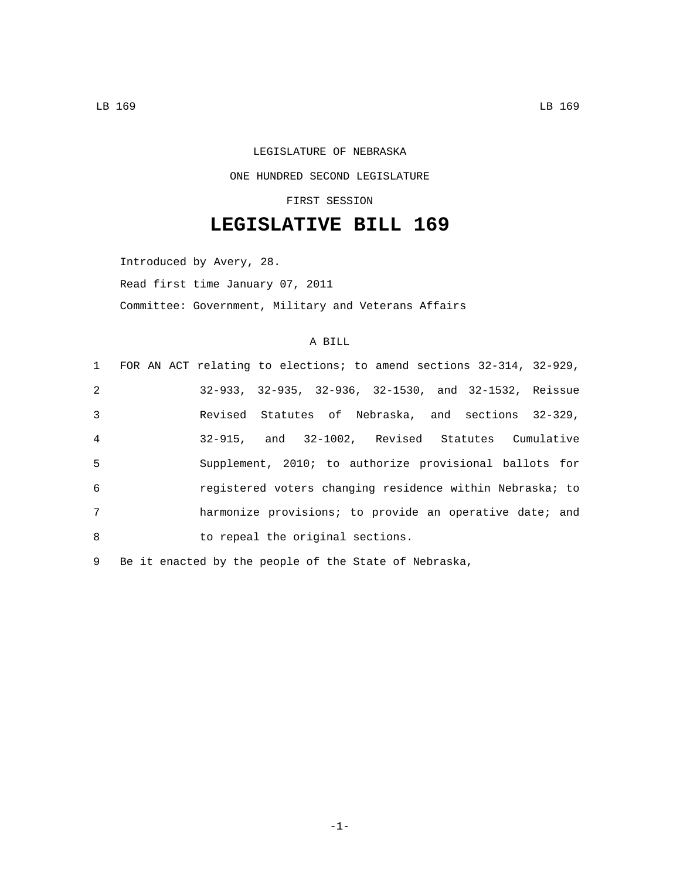## LEGISLATURE OF NEBRASKA ONE HUNDRED SECOND LEGISLATURE

## FIRST SESSION

## **LEGISLATIVE BILL 169**

Introduced by Avery, 28. Read first time January 07, 2011 Committee: Government, Military and Veterans Affairs

## A BILL

|                | 1 FOR AN ACT relating to elections; to amend sections 32-314, 32-929, |
|----------------|-----------------------------------------------------------------------|
| 2              | 32-933, 32-935, 32-936, 32-1530, and 32-1532, Reissue                 |
| 3              | Revised Statutes of Nebraska, and sections 32-329,                    |
| $\overline{4}$ | 32-915, and 32-1002, Revised Statutes Cumulative                      |
| 5              | Supplement, 2010; to authorize provisional ballots for                |
| 6              | registered voters changing residence within Nebraska; to              |
| 7              | harmonize provisions; to provide an operative date; and               |
| 8              | to repeal the original sections.                                      |

9 Be it enacted by the people of the State of Nebraska,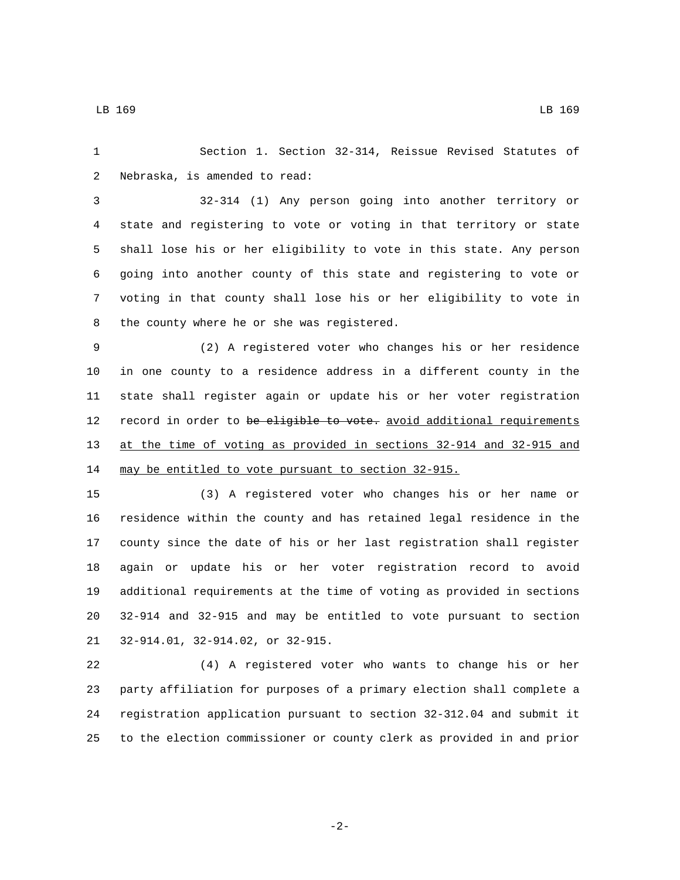Section 1. Section 32-314, Reissue Revised Statutes of 2 Nebraska, is amended to read:

 32-314 (1) Any person going into another territory or state and registering to vote or voting in that territory or state shall lose his or her eligibility to vote in this state. Any person going into another county of this state and registering to vote or voting in that county shall lose his or her eligibility to vote in 8 the county where he or she was registered.

 (2) A registered voter who changes his or her residence in one county to a residence address in a different county in the state shall register again or update his or her voter registration 12 record in order to be eligible to vote. avoid additional requirements at the time of voting as provided in sections 32-914 and 32-915 and may be entitled to vote pursuant to section 32-915.

 (3) A registered voter who changes his or her name or residence within the county and has retained legal residence in the county since the date of his or her last registration shall register again or update his or her voter registration record to avoid additional requirements at the time of voting as provided in sections 32-914 and 32-915 and may be entitled to vote pursuant to section 21 32-914.01, 32-914.02, or 32-915.

 (4) A registered voter who wants to change his or her party affiliation for purposes of a primary election shall complete a registration application pursuant to section 32-312.04 and submit it to the election commissioner or county clerk as provided in and prior

-2-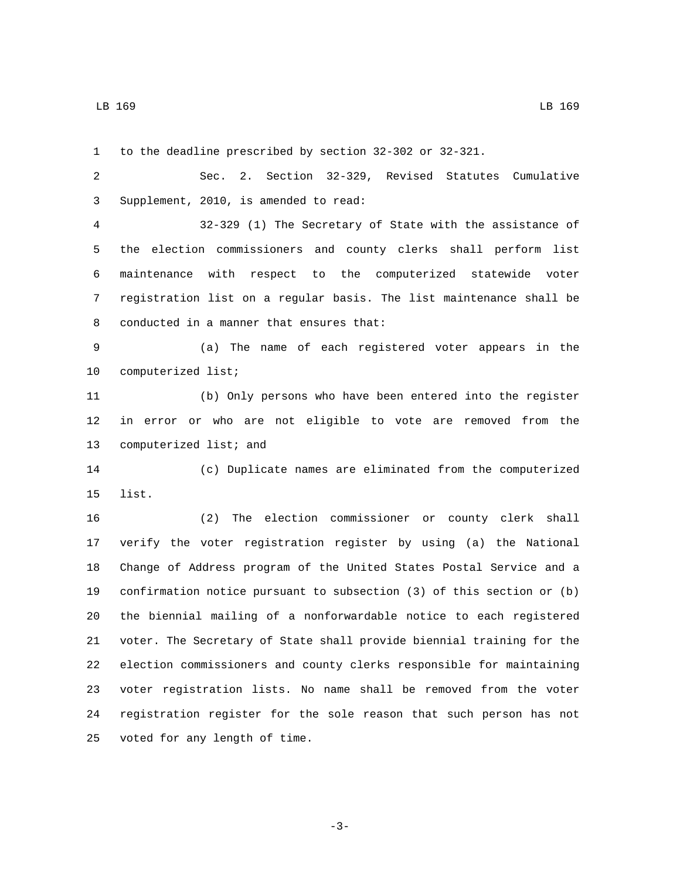to the deadline prescribed by section 32-302 or 32-321.

 Sec. 2. Section 32-329, Revised Statutes Cumulative Supplement, 2010, is amended to read:3

 32-329 (1) The Secretary of State with the assistance of the election commissioners and county clerks shall perform list maintenance with respect to the computerized statewide voter registration list on a regular basis. The list maintenance shall be 8 conducted in a manner that ensures that:

 (a) The name of each registered voter appears in the 10 computerized list;

 (b) Only persons who have been entered into the register in error or who are not eligible to vote are removed from the 13 computerized list; and

 (c) Duplicate names are eliminated from the computerized 15 list.

 (2) The election commissioner or county clerk shall verify the voter registration register by using (a) the National Change of Address program of the United States Postal Service and a confirmation notice pursuant to subsection (3) of this section or (b) the biennial mailing of a nonforwardable notice to each registered voter. The Secretary of State shall provide biennial training for the election commissioners and county clerks responsible for maintaining voter registration lists. No name shall be removed from the voter registration register for the sole reason that such person has not 25 voted for any length of time.

-3-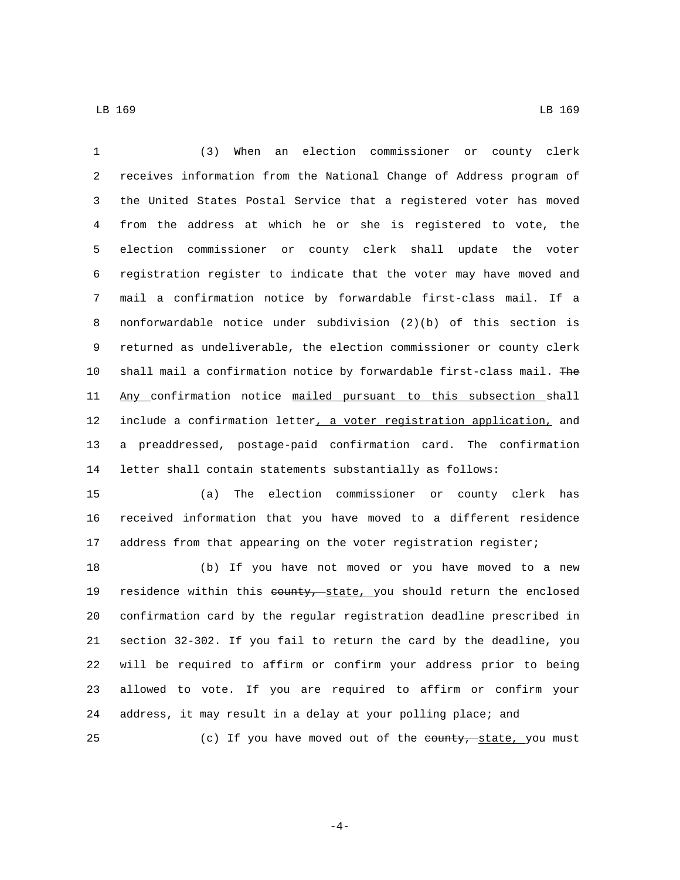(3) When an election commissioner or county clerk receives information from the National Change of Address program of the United States Postal Service that a registered voter has moved from the address at which he or she is registered to vote, the election commissioner or county clerk shall update the voter registration register to indicate that the voter may have moved and mail a confirmation notice by forwardable first-class mail. If a nonforwardable notice under subdivision (2)(b) of this section is returned as undeliverable, the election commissioner or county clerk 10 shall mail a confirmation notice by forwardable first-class mail. The 11 Any confirmation notice mailed pursuant to this subsection shall 12 include a confirmation letter, a voter registration application, and a preaddressed, postage-paid confirmation card. The confirmation letter shall contain statements substantially as follows:

 (a) The election commissioner or county clerk has received information that you have moved to a different residence 17 address from that appearing on the voter registration register;

 (b) If you have not moved or you have moved to a new 19 residence within this county, state, you should return the enclosed confirmation card by the regular registration deadline prescribed in section 32-302. If you fail to return the card by the deadline, you will be required to affirm or confirm your address prior to being allowed to vote. If you are required to affirm or confirm your address, it may result in a delay at your polling place; and 25 (c) If you have moved out of the county, state, you must

-4-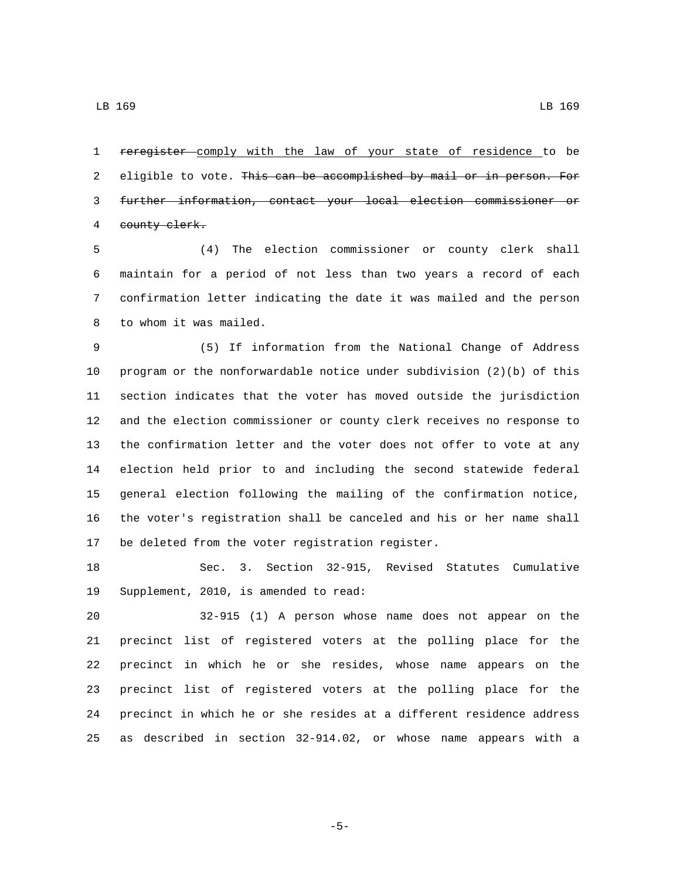reregister comply with the law of your state of residence to be 2 eligible to vote. This can be accomplished by mail or in person. For further information, contact your local election commissioner or 4 county clerk.

 (4) The election commissioner or county clerk shall maintain for a period of not less than two years a record of each confirmation letter indicating the date it was mailed and the person 8 to whom it was mailed.

 (5) If information from the National Change of Address program or the nonforwardable notice under subdivision (2)(b) of this section indicates that the voter has moved outside the jurisdiction and the election commissioner or county clerk receives no response to the confirmation letter and the voter does not offer to vote at any election held prior to and including the second statewide federal general election following the mailing of the confirmation notice, the voter's registration shall be canceled and his or her name shall 17 be deleted from the voter registration register.

 Sec. 3. Section 32-915, Revised Statutes Cumulative 19 Supplement, 2010, is amended to read:

 32-915 (1) A person whose name does not appear on the precinct list of registered voters at the polling place for the precinct in which he or she resides, whose name appears on the precinct list of registered voters at the polling place for the precinct in which he or she resides at a different residence address as described in section 32-914.02, or whose name appears with a

-5-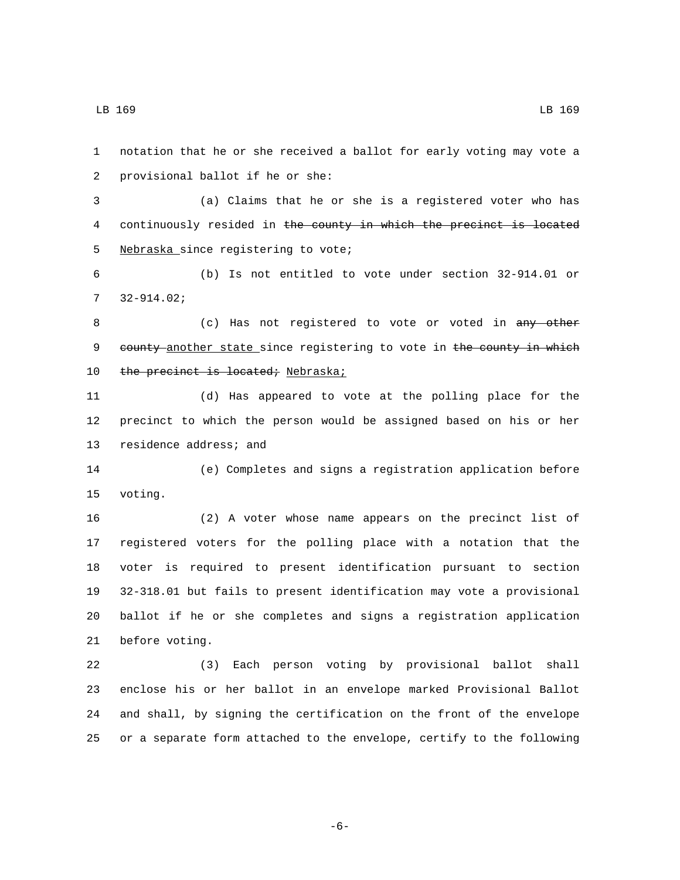notation that he or she received a ballot for early voting may vote a 2 provisional ballot if he or she: (a) Claims that he or she is a registered voter who has continuously resided in the county in which the precinct is located 5 Nebraska since registering to vote; (b) Is not entitled to vote under section 32-914.01 or  $732 - 914.02i$ 8 (c) Has not registered to vote or voted in any other 9 county another state since registering to vote in the county in which 10 the precinct is located; Nebraska; (d) Has appeared to vote at the polling place for the precinct to which the person would be assigned based on his or her 13 residence address; and (e) Completes and signs a registration application before 15 voting. (2) A voter whose name appears on the precinct list of registered voters for the polling place with a notation that the voter is required to present identification pursuant to section 32-318.01 but fails to present identification may vote a provisional ballot if he or she completes and signs a registration application 21 before voting. (3) Each person voting by provisional ballot shall enclose his or her ballot in an envelope marked Provisional Ballot

-6-

24 and shall, by signing the certification on the front of the envelope

25 or a separate form attached to the envelope, certify to the following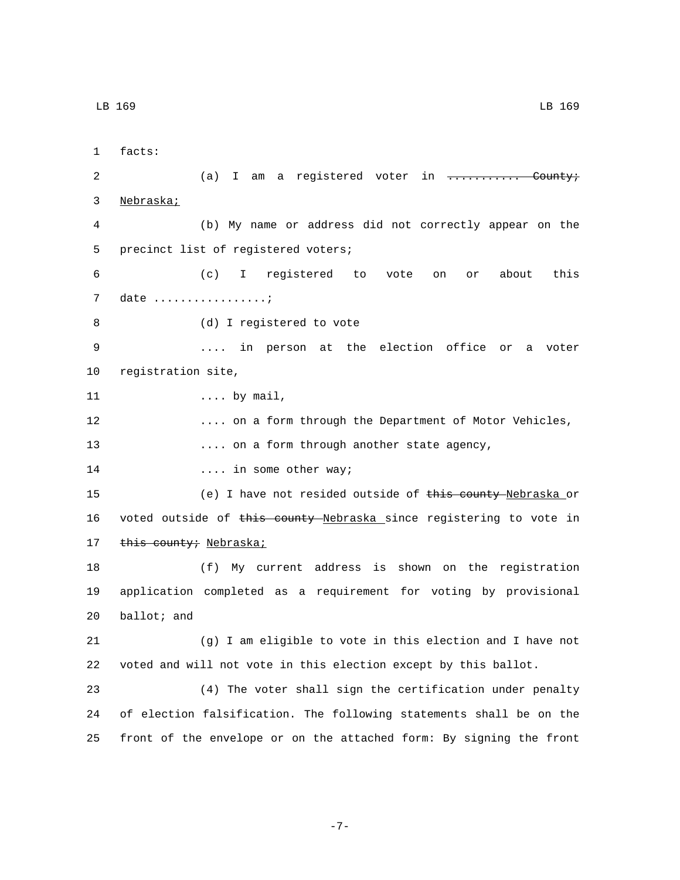1 facts: 2 (a) I am a registered voter in ............. County; 3 Nebraska; 4 (b) My name or address did not correctly appear on the 5 precinct list of registered voters; 6 (c) I registered to vote on or about this 7 date .................*.* 8 (d) I registered to vote 9 .... in person at the election office or a voter 10 registration site, 11 .... by mail, 12 .... on a form through the Department of Motor Vehicles, 13 .... on a form through another state agency, 14 **14** .... in some other way; 15 (e) I have not resided outside of this county Nebraska or 16 voted outside of this county Nebraska since registering to vote in 17 this county; Nebraska; 18 (f) My current address is shown on the registration 19 application completed as a requirement for voting by provisional  $20$  ballot; and 21 (g) I am eligible to vote in this election and I have not 22 voted and will not vote in this election except by this ballot. 23 (4) The voter shall sign the certification under penalty 24 of election falsification. The following statements shall be on the 25 front of the envelope or on the attached form: By signing the front

-7-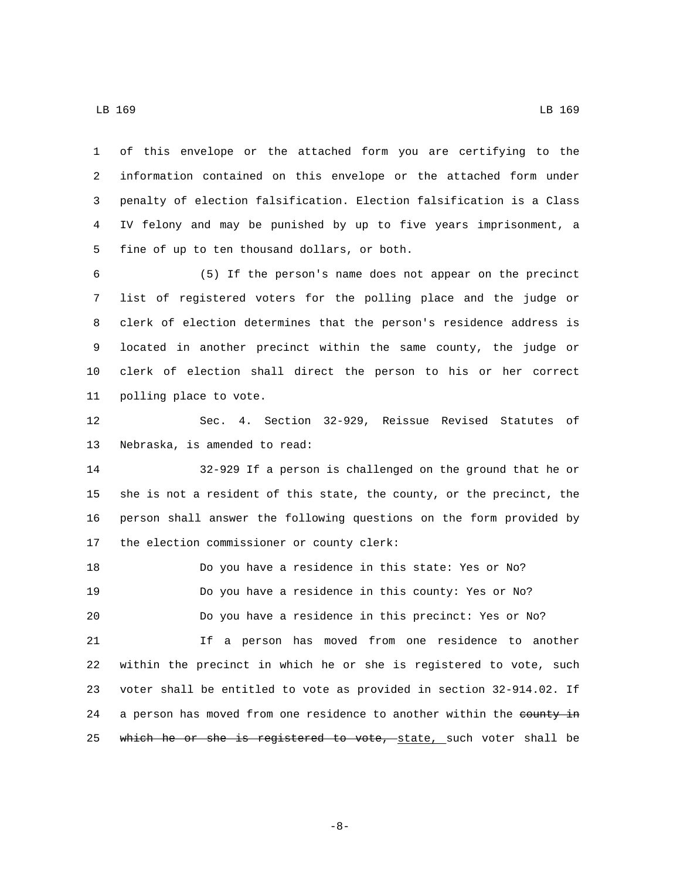of this envelope or the attached form you are certifying to the information contained on this envelope or the attached form under penalty of election falsification. Election falsification is a Class IV felony and may be punished by up to five years imprisonment, a 5 fine of up to ten thousand dollars, or both.

 (5) If the person's name does not appear on the precinct list of registered voters for the polling place and the judge or clerk of election determines that the person's residence address is located in another precinct within the same county, the judge or clerk of election shall direct the person to his or her correct 11 polling place to vote.

 Sec. 4. Section 32-929, Reissue Revised Statutes of 13 Nebraska, is amended to read:

 32-929 If a person is challenged on the ground that he or she is not a resident of this state, the county, or the precinct, the person shall answer the following questions on the form provided by 17 the election commissioner or county clerk:

 Do you have a residence in this state: Yes or No? Do you have a residence in this county: Yes or No? Do you have a residence in this precinct: Yes or No? If a person has moved from one residence to another within the precinct in which he or she is registered to vote, such voter shall be entitled to vote as provided in section 32-914.02. If 24 a person has moved from one residence to another within the county in 25 which he or she is registered to vote, state, such voter shall be

-8-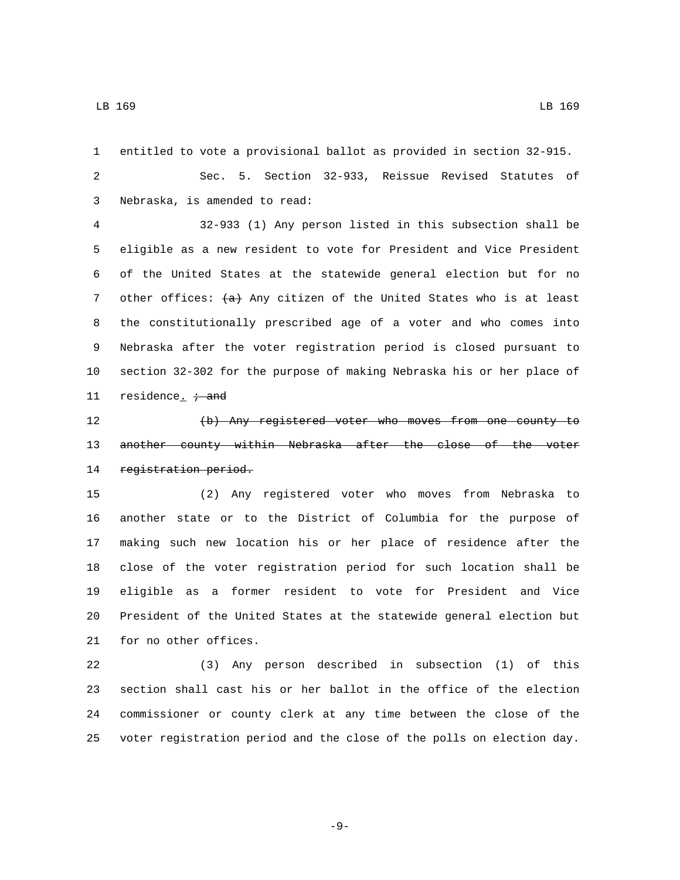entitled to vote a provisional ballot as provided in section 32-915. Sec. 5. Section 32-933, Reissue Revised Statutes of Nebraska, is amended to read:3 32-933 (1) Any person listed in this subsection shall be eligible as a new resident to vote for President and Vice President of the United States at the statewide general election but for no 7 other offices:  $\{a\}$  Any citizen of the United States who is at least the constitutionally prescribed age of a voter and who comes into Nebraska after the voter registration period is closed pursuant to section 32-302 for the purpose of making Nebraska his or her place of 11 residence<sub> $\cdot$ </sub>  $\div$  and (b) Any registered voter who moves from one county to 13 another county within Nebraska after the close of the voter 14 registration period. (2) Any registered voter who moves from Nebraska to another state or to the District of Columbia for the purpose of making such new location his or her place of residence after the close of the voter registration period for such location shall be eligible as a former resident to vote for President and Vice President of the United States at the statewide general election but 21 for no other offices. (3) Any person described in subsection (1) of this section shall cast his or her ballot in the office of the election commissioner or county clerk at any time between the close of the

-9-

voter registration period and the close of the polls on election day.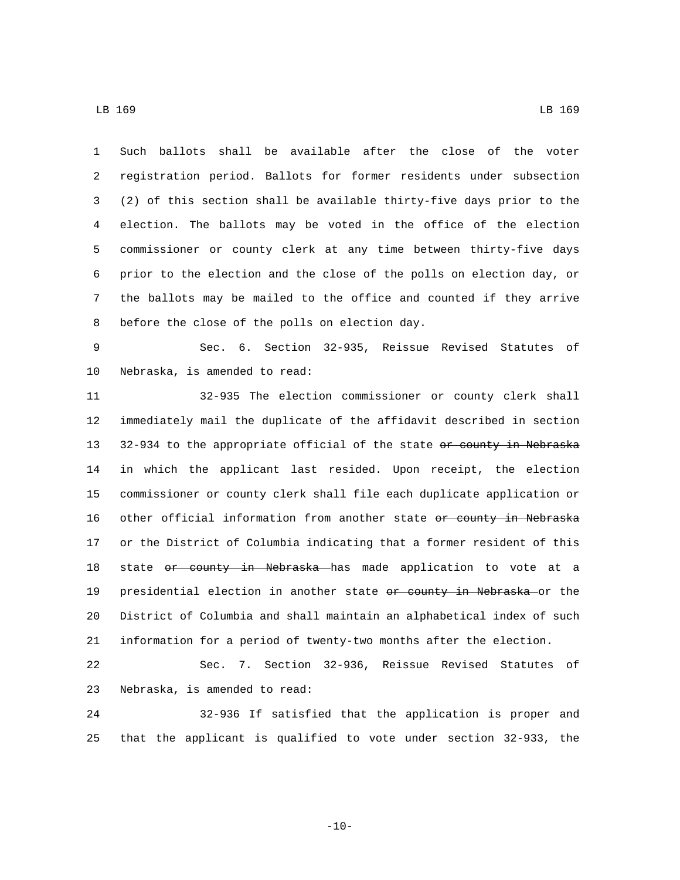Such ballots shall be available after the close of the voter registration period. Ballots for former residents under subsection (2) of this section shall be available thirty-five days prior to the election. The ballots may be voted in the office of the election commissioner or county clerk at any time between thirty-five days prior to the election and the close of the polls on election day, or the ballots may be mailed to the office and counted if they arrive 8 before the close of the polls on election day.

 Sec. 6. Section 32-935, Reissue Revised Statutes of 10 Nebraska, is amended to read:

 32-935 The election commissioner or county clerk shall immediately mail the duplicate of the affidavit described in section 13 32-934 to the appropriate official of the state or county in Nebraska in which the applicant last resided. Upon receipt, the election commissioner or county clerk shall file each duplicate application or 16 other official information from another state or county in Nebraska or the District of Columbia indicating that a former resident of this 18 state or county in Nebraska has made application to vote at a 19 presidential election in another state or county in Nebraska or the District of Columbia and shall maintain an alphabetical index of such information for a period of twenty-two months after the election.

 Sec. 7. Section 32-936, Reissue Revised Statutes of 23 Nebraska, is amended to read:

 32-936 If satisfied that the application is proper and that the applicant is qualified to vote under section 32-933, the

 $-10-$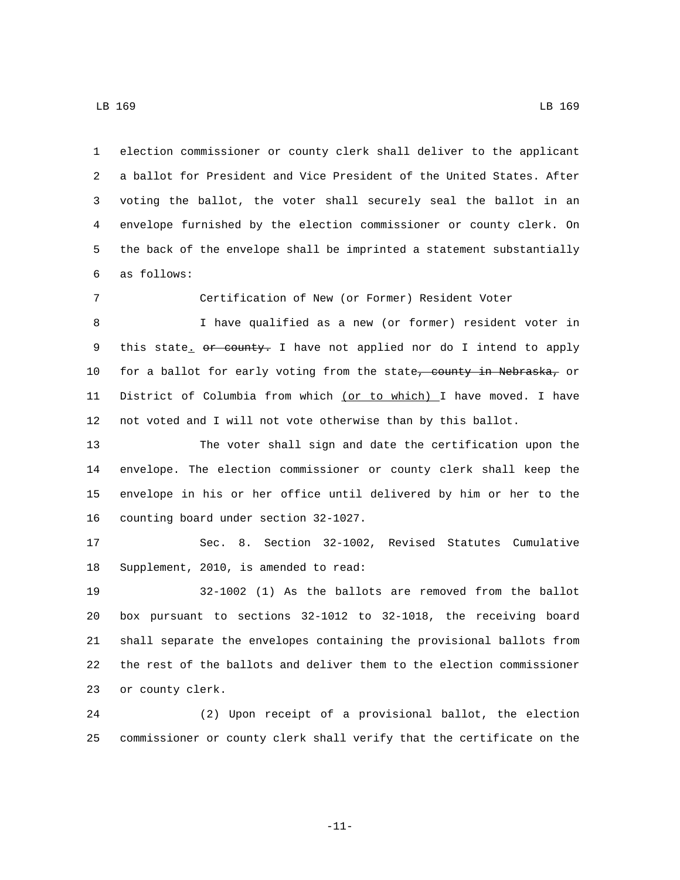election commissioner or county clerk shall deliver to the applicant a ballot for President and Vice President of the United States. After voting the ballot, the voter shall securely seal the ballot in an envelope furnished by the election commissioner or county clerk. On the back of the envelope shall be imprinted a statement substantially as follows:6

Certification of New (or Former) Resident Voter

 I have qualified as a new (or former) resident voter in 9 this state. or county. I have not applied nor do I intend to apply 10 for a ballot for early voting from the state, county in Nebraska, or 11 District of Columbia from which (or to which) I have moved. I have not voted and I will not vote otherwise than by this ballot.

 The voter shall sign and date the certification upon the envelope. The election commissioner or county clerk shall keep the envelope in his or her office until delivered by him or her to the 16 counting board under section 32-1027.

 Sec. 8. Section 32-1002, Revised Statutes Cumulative 18 Supplement, 2010, is amended to read:

 32-1002 (1) As the ballots are removed from the ballot box pursuant to sections 32-1012 to 32-1018, the receiving board shall separate the envelopes containing the provisional ballots from the rest of the ballots and deliver them to the election commissioner 23 or county clerk.

 (2) Upon receipt of a provisional ballot, the election commissioner or county clerk shall verify that the certificate on the

-11-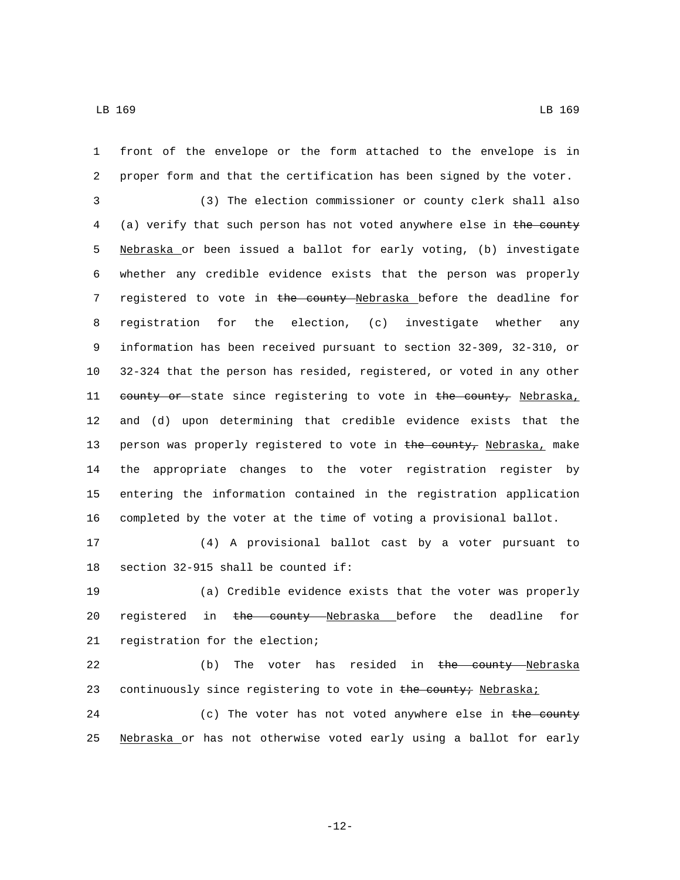front of the envelope or the form attached to the envelope is in proper form and that the certification has been signed by the voter. (3) The election commissioner or county clerk shall also (a) verify that such person has not voted anywhere else in the county Nebraska or been issued a ballot for early voting, (b) investigate whether any credible evidence exists that the person was properly 7 registered to vote in the county Nebraska before the deadline for registration for the election, (c) investigate whether any information has been received pursuant to section 32-309, 32-310, or 32-324 that the person has resided, registered, or voted in any other 11 county or state since registering to vote in the county, Nebraska, and (d) upon determining that credible evidence exists that the 13 person was properly registered to vote in the county, Nebraska, make the appropriate changes to the voter registration register by entering the information contained in the registration application completed by the voter at the time of voting a provisional ballot.

17 (4) A provisional ballot cast by a voter pursuant to 18 section  $32-915$  shall be counted if:

19 (a) Credible evidence exists that the voter was properly 20 registered in the county Nebraska before the deadline for 21 registration for the election;

22 (b) The voter has resided in the county Nebraska 23 continuously since registering to vote in the county; Nebraska;

24 (c) The voter has not voted anywhere else in the county 25 Nebraska or has not otherwise voted early using a ballot for early

-12-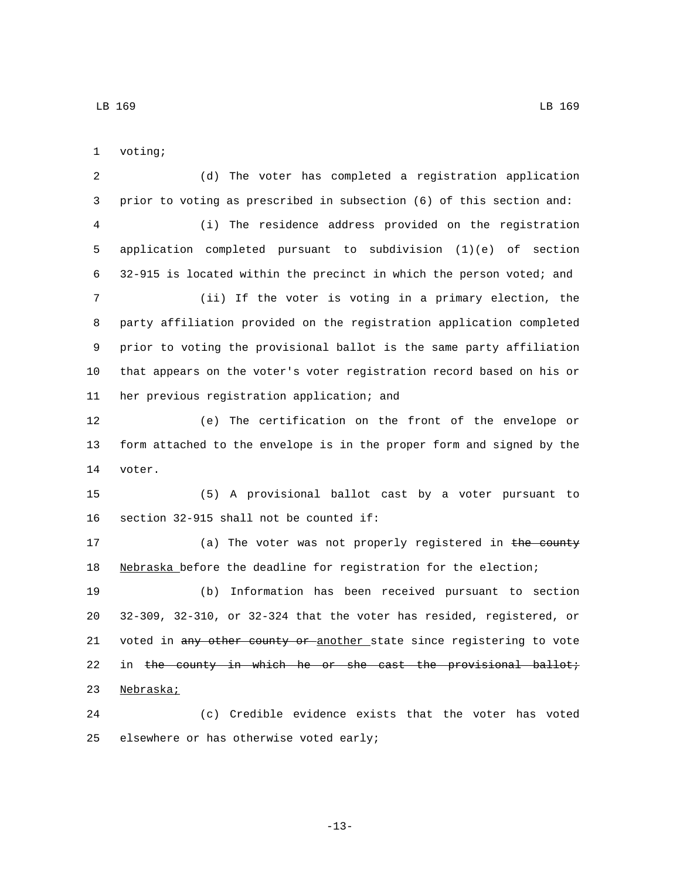1 voting;

 (d) The voter has completed a registration application prior to voting as prescribed in subsection (6) of this section and: (i) The residence address provided on the registration application completed pursuant to subdivision (1)(e) of section 32-915 is located within the precinct in which the person voted; and (ii) If the voter is voting in a primary election, the party affiliation provided on the registration application completed prior to voting the provisional ballot is the same party affiliation that appears on the voter's voter registration record based on his or 11 her previous registration application; and (e) The certification on the front of the envelope or form attached to the envelope is in the proper form and signed by the 14 voter. (5) A provisional ballot cast by a voter pursuant to 16 section  $32-915$  shall not be counted if: 17 (a) The voter was not properly registered in the county 18 Nebraska before the deadline for registration for the election; (b) Information has been received pursuant to section 32-309, 32-310, or 32-324 that the voter has resided, registered, or 21 voted in any other county or another state since registering to vote 22 in the county in which he or she cast the provisional ballot; 23 Nebraska; (c) Credible evidence exists that the voter has voted 25 elsewhere or has otherwise voted early;

LB 169 LB 169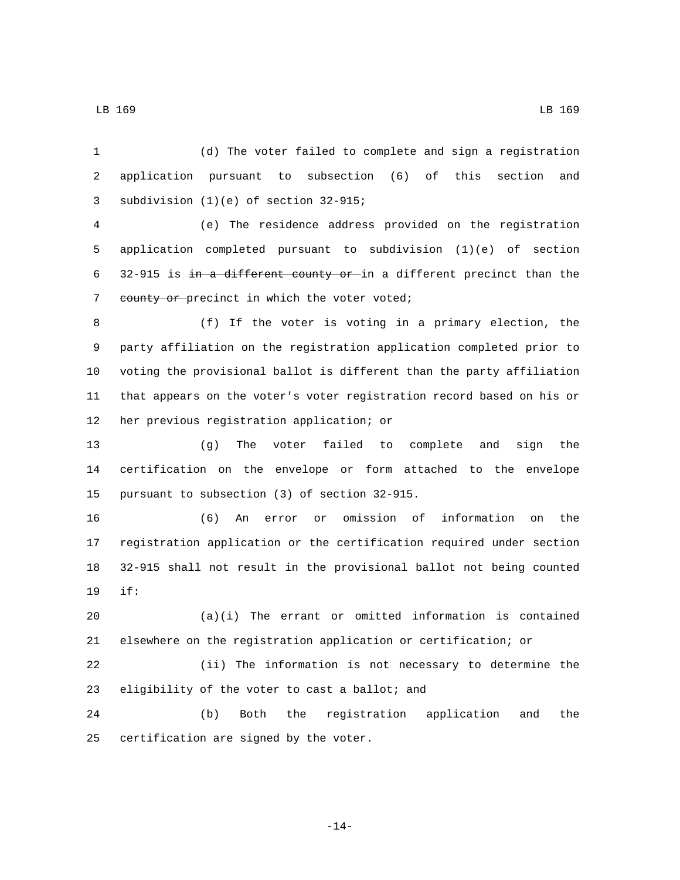(d) The voter failed to complete and sign a registration application pursuant to subsection (6) of this section and 3 subdivision (1)(e) of section 32-915;

 (e) The residence address provided on the registration application completed pursuant to subdivision (1)(e) of section 32-915 is in a different county or in a different precinct than the 7 eounty or precinct in which the voter voted;

 (f) If the voter is voting in a primary election, the party affiliation on the registration application completed prior to voting the provisional ballot is different than the party affiliation that appears on the voter's voter registration record based on his or 12 her previous registration application; or

 (g) The voter failed to complete and sign the certification on the envelope or form attached to the envelope 15 pursuant to subsection (3) of section 32-915.

 (6) An error or omission of information on the registration application or the certification required under section 32-915 shall not result in the provisional ballot not being counted if:19

 (a)(i) The errant or omitted information is contained elsewhere on the registration application or certification; or

 (ii) The information is not necessary to determine the 23 eligibility of the voter to cast a ballot; and

 (b) Both the registration application and the 25 certification are signed by the voter.

-14-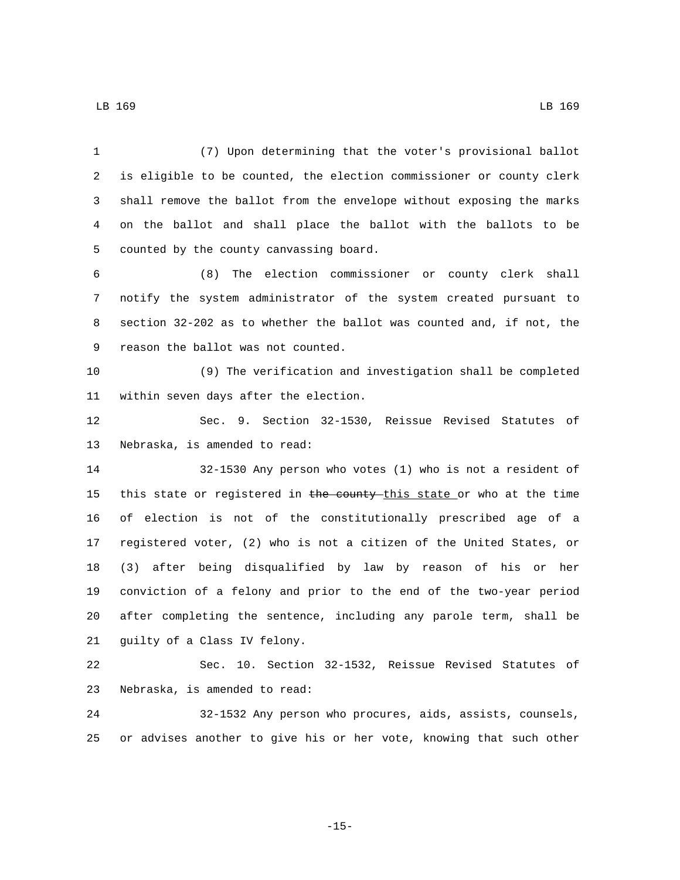(7) Upon determining that the voter's provisional ballot is eligible to be counted, the election commissioner or county clerk shall remove the ballot from the envelope without exposing the marks on the ballot and shall place the ballot with the ballots to be 5 counted by the county canvassing board. (8) The election commissioner or county clerk shall notify the system administrator of the system created pursuant to section 32-202 as to whether the ballot was counted and, if not, the 9 reason the ballot was not counted. (9) The verification and investigation shall be completed 11 within seven days after the election. Sec. 9. Section 32-1530, Reissue Revised Statutes of 13 Nebraska, is amended to read: 32-1530 Any person who votes (1) who is not a resident of 15 this state or registered in the county this state or who at the time of election is not of the constitutionally prescribed age of a registered voter, (2) who is not a citizen of the United States, or (3) after being disqualified by law by reason of his or her conviction of a felony and prior to the end of the two-year period after completing the sentence, including any parole term, shall be 21 guilty of a Class IV felony. Sec. 10. Section 32-1532, Reissue Revised Statutes of 23 Nebraska, is amended to read: 32-1532 Any person who procures, aids, assists, counsels, or advises another to give his or her vote, knowing that such other

-15-